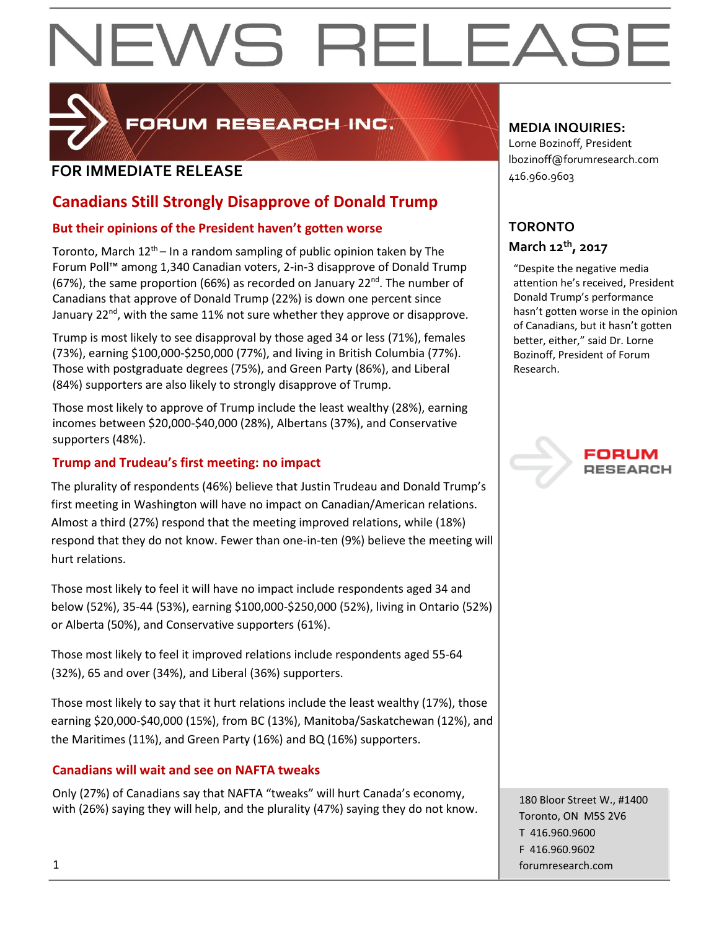

## FORUM RESEARCH INC.

## **FOR IMMEDIATE RELEASE**

## **Canadians Still Strongly Disapprove of Donald Trump**

## **But their opinions of the President haven't gotten worse**

Toronto, March  $12<sup>th</sup>$  – In a random sampling of public opinion taken by The Forum Poll™ among 1,340 Canadian voters, 2-in-3 disapprove of Donald Trump (67%), the same proportion (66%) as recorded on January 22<sup>nd</sup>. The number of Canadians that approve of Donald Trump (22%) is down one percent since January 22<sup>nd</sup>, with the same 11% not sure whether they approve or disapprove.

Trump is most likely to see disapproval by those aged 34 or less (71%), females (73%), earning \$100,000-\$250,000 (77%), and living in British Columbia (77%). Those with postgraduate degrees (75%), and Green Party (86%), and Liberal (84%) supporters are also likely to strongly disapprove of Trump.

Those most likely to approve of Trump include the least wealthy (28%), earning incomes between \$20,000-\$40,000 (28%), Albertans (37%), and Conservative supporters (48%).

## **Trump and Trudeau's first meeting: no impact**

The plurality of respondents (46%) believe that Justin Trudeau and Donald Trump's first meeting in Washington will have no impact on Canadian/American relations. Almost a third (27%) respond that the meeting improved relations, while (18%) respond that they do not know. Fewer than one-in-ten (9%) believe the meeting will hurt relations.

Those most likely to feel it will have no impact include respondents aged 34 and below (52%), 35-44 (53%), earning \$100,000-\$250,000 (52%), living in Ontario (52%) or Alberta (50%), and Conservative supporters (61%).

Those most likely to feel it improved relations include respondents aged 55-64 (32%), 65 and over (34%), and Liberal (36%) supporters.

Those most likely to say that it hurt relations include the least wealthy (17%), those earning \$20,000-\$40,000 (15%), from BC (13%), Manitoba/Saskatchewan (12%), and the Maritimes (11%), and Green Party (16%) and BQ (16%) supporters.

## **Canadians will wait and see on NAFTA tweaks**

Only (27%) of Canadians say that NAFTA "tweaks" will hurt Canada's economy, with (26%) saying they will help, and the plurality (47%) saying they do not know.

## **MEDIA INQUIRIES:**

Lorne Bozinoff, President lbozinoff@forumresearch.com 416.960.9603

## **TORONTO March 12th, 2017**

"Despite the negative media attention he's received, President Donald Trump's performance hasn't gotten worse in the opinion of Canadians, but it hasn't gotten better, either," said Dr. Lorne Bozinoff, President of Forum Research.



180 Bloor Street W., #1400 Toronto, ON M5S 2V6 T 416.960.9600 F 416.960.9602 1 forumresearch.com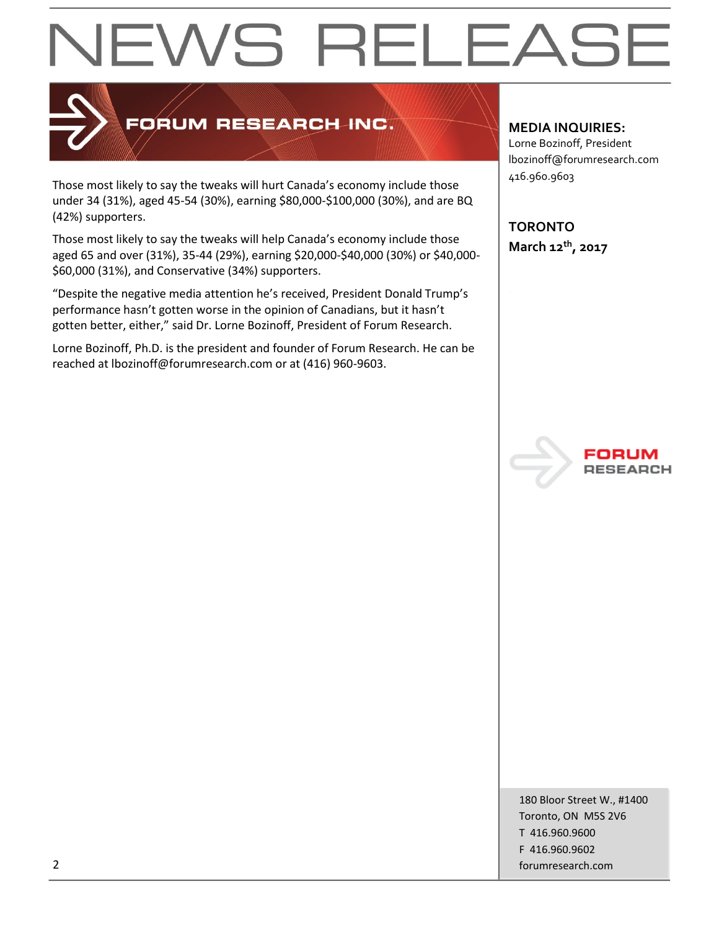

## FORUM RESEARCH INC.

Those most likely to say the tweaks will hurt Canada's economy include those under 34 (31%), aged 45-54 (30%), earning \$80,000-\$100,000 (30%), and are BQ (42%) supporters.

Those most likely to say the tweaks will help Canada's economy include those aged 65 and over (31%), 35-44 (29%), earning \$20,000-\$40,000 (30%) or \$40,000- \$60,000 (31%), and Conservative (34%) supporters.

"Despite the negative media attention he's received, President Donald Trump's performance hasn't gotten worse in the opinion of Canadians, but it hasn't gotten better, either," said Dr. Lorne Bozinoff, President of Forum Research.

Lorne Bozinoff, Ph.D. is the president and founder of Forum Research. He can be reached at lbozinoff@forumresearch.com or at (416) 960-9603.

## **MEDIA INQUIRIES:**

Lorne Bozinoff, President lbozinoff@forumresearch.com 416.960.9603

**TORONTO March 12th, 2017**



180 Bloor Street W., #1400 Toronto, ON M5S 2V6 T 416.960.9600 F 416.960.9602 2 forumresearch.com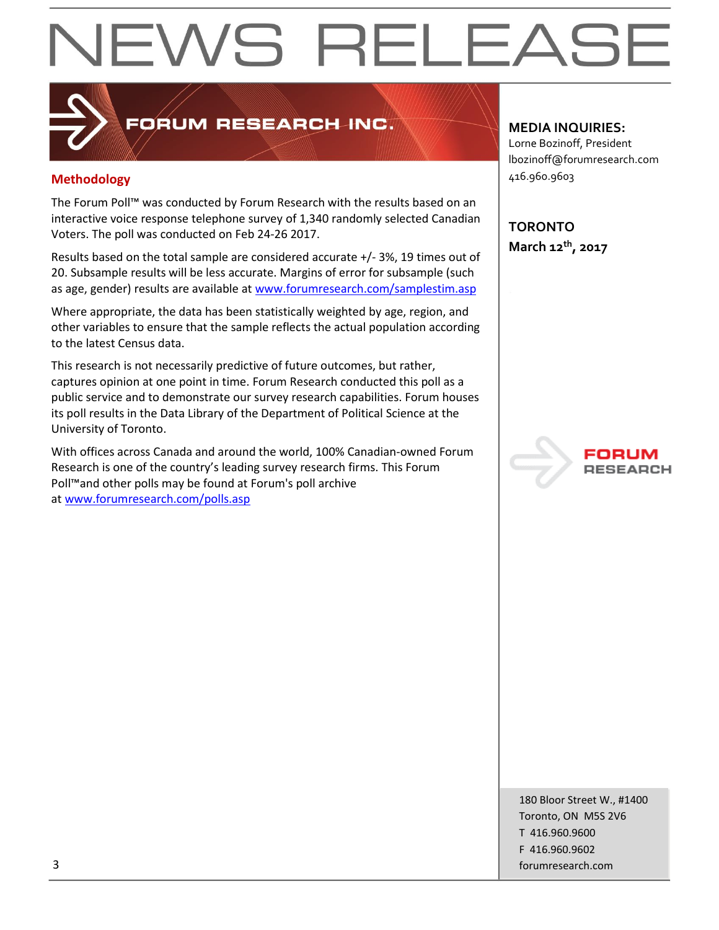## FORUM RESEARCH INC.

## **Methodology**

The Forum Poll™ was conducted by Forum Research with the results based on an interactive voice response telephone survey of 1,340 randomly selected Canadian Voters. The poll was conducted on Feb 24-26 2017.

Results based on the total sample are considered accurate +/- 3%, 19 times out of 20. Subsample results will be less accurate. Margins of error for subsample (such as age, gender) results are available at [www.forumresearch.com/samplestim.asp](http://www.forumresearch.com/samplestim.asp)

Where appropriate, the data has been statistically weighted by age, region, and other variables to ensure that the sample reflects the actual population according to the latest Census data.

This research is not necessarily predictive of future outcomes, but rather, captures opinion at one point in time. Forum Research conducted this poll as a public service and to demonstrate our survey research capabilities. Forum houses its poll results in the Data Library of the Department of Political Science at the University of Toronto.

With offices across Canada and around the world, 100% Canadian-owned Forum Research is one of the country's leading survey research firms. This Forum Poll™and other polls may be found at Forum's poll archive at [www.forumresearch.com/polls.asp](http://www.forumresearch.com/polls.asp)

## **MEDIA INQUIRIES:**

Lorne Bozinoff, President lbozinoff@forumresearch.com 416.960.9603

**TORONTO March 12th, 2017**



180 Bloor Street W., #1400 Toronto, ON M5S 2V6 T 416.960.9600 F 416.960.9602 3 forumresearch.com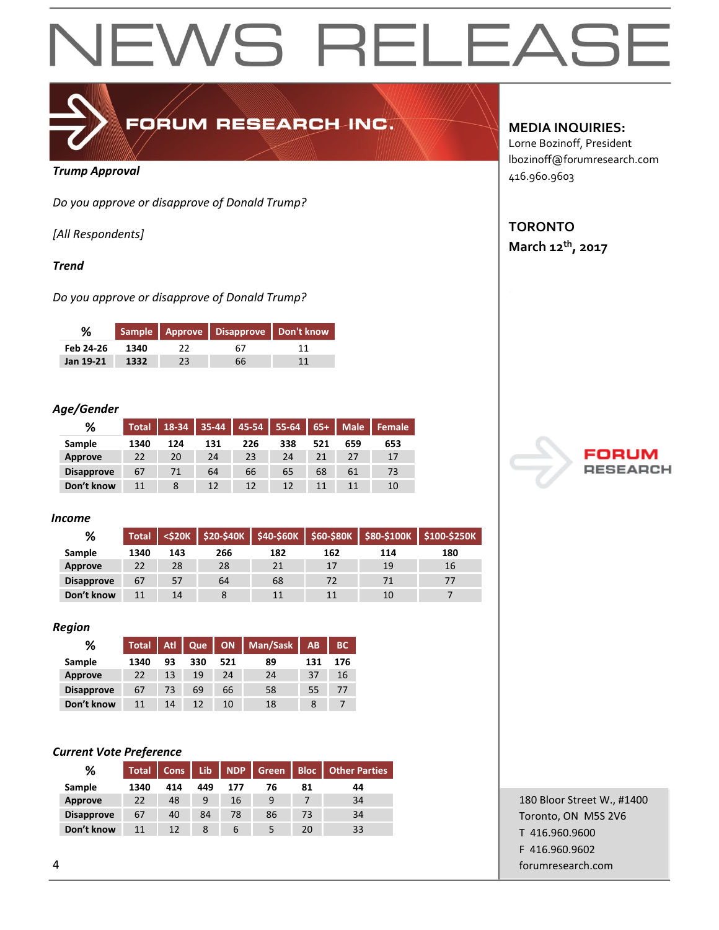

## FORUM RESEARCH INC.

#### *Trump Approval*

*Do you approve or disapprove of Donald Trump?*

*[All Respondents]*

### *Trend*

*Do you approve or disapprove of Donald Trump?*

| ℅         |      |    | Sample   Approve   Disapprove   Don't know |  |
|-----------|------|----|--------------------------------------------|--|
| Feb 24-26 | 1340 | フフ | 67                                         |  |
| Jan 19-21 | 1332 | 23 | 66                                         |  |

### *Age/Gender*

| %                 | <b>Total</b> | 18-34 | $35 - 44$ | $45-54$ | 55-64 | $65+$ | <b>Male</b> | <b>Female</b> |
|-------------------|--------------|-------|-----------|---------|-------|-------|-------------|---------------|
| Sample            | 1340         | 124   | 131       | 226     | 338   | 521   | 659         | 653           |
| Approve           | 22           | 20    | 24        | 23      | 24    | 21    | 27          | 17            |
| <b>Disapprove</b> | 67           | 71    | 64        | 66      | 65    | 68    | 61          | 73            |
| Don't know        | 11           |       | 12        | 12      | 12    | 11    |             | 10            |

### *Income*

| ℅                 | <b>Total</b> |     |     |     |     | <\$20K   \$20-\$40K   \$40-\$60K   \$60-\$80K   \$80-\$100K | $5100 - 5250K$ |
|-------------------|--------------|-----|-----|-----|-----|-------------------------------------------------------------|----------------|
| Sample            | 1340         | 143 | 266 | 182 | 162 | 114                                                         | 180            |
| Approve           | 22           | 28  | 28  | 21  | 17  | 19                                                          | 16             |
| <b>Disapprove</b> | 67           | 57  | 64  | 68  | 72  |                                                             |                |
| Don't know        | 11           | 14  |     |     | 11  | 10                                                          |                |

### *Region*

| %                 | <b>Total</b> | <b>Atl</b> | Que | ON  | Man/Sask | AB  | <b>BC</b> |
|-------------------|--------------|------------|-----|-----|----------|-----|-----------|
| Sample            | 1340         | 93         | 330 | 521 | 89       | 131 | 176       |
| Approve           | 22           | 13         | 19  | 24  | 24       | 37  | 16        |
| <b>Disapprove</b> | 67           | 73         | 69  | 66  | 58       | 55  | 77        |
| Don't know        | 11           | 14         | 12  | 10  | 18       |     |           |

### *Current Vote Preference*

| %                 | <b>Total</b> | <b>Cons</b> | Lib | <b>NDP</b> | <b>Green</b> | <b>Bloc</b> | <b>Other Parties</b> |
|-------------------|--------------|-------------|-----|------------|--------------|-------------|----------------------|
| Sample            | 1340         | 414         | 449 | 177        | 76           | 81          | 44                   |
| <b>Approve</b>    | 22           | 48          | 9   | 16         | 9            |             | 34                   |
| <b>Disapprove</b> | 67           | 40          | 84  | 78         | 86           | 73          | 34                   |
| Don't know        | 11           | 12          |     | 6          |              | 20          | 33                   |

## **MEDIA INQUIRIES:**

Lorne Bozinoff, President lbozinoff@forumresearch.com 416.960.9603

## **TORONTO March 12th, 2017**



180 Bloor Street W., #1400 Toronto, ON M5S 2V6 T 416.960.9600 F 416.960.9602 4 forumresearch.com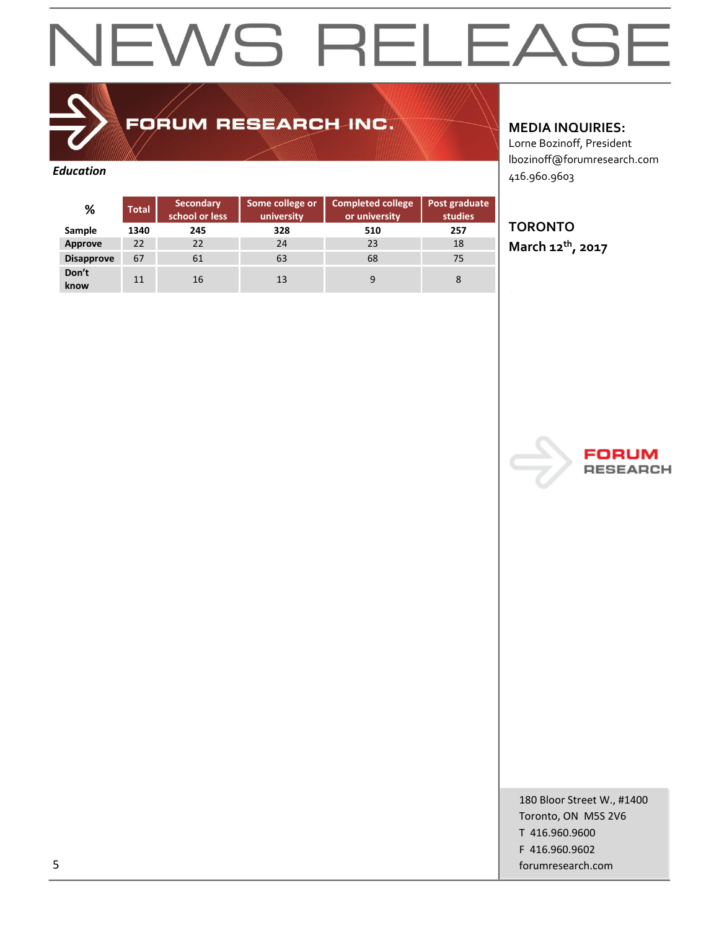## FORUM RESEARCH INC.

*Education*

| %                 | <b>Total</b> | Secondary<br>school or less | Some college or<br>university | <b>Completed college</b><br>or university | Post graduate<br>studies |  |
|-------------------|--------------|-----------------------------|-------------------------------|-------------------------------------------|--------------------------|--|
| Sample            | 1340         | 245                         | 328                           | 510                                       | 257                      |  |
| Approve           | 22           | 22                          | 24                            | 23                                        | 18                       |  |
| <b>Disapprove</b> | 67           | 61                          | 63                            | 68                                        | 75                       |  |
| Don't<br>know     | 11           | 16                          | 13                            | 9                                         | 8                        |  |

## **MEDIA INQUIRIES:**

Lorne Bozinoff, President lbozinoff@forumresearch.com 416.960.9603

**TORONTO March 12th, 2017**



180 Bloor Street W., #1400 Toronto, ON M5S 2V6 T 416.960.9600 F 416.960.9602 5 forumresearch.com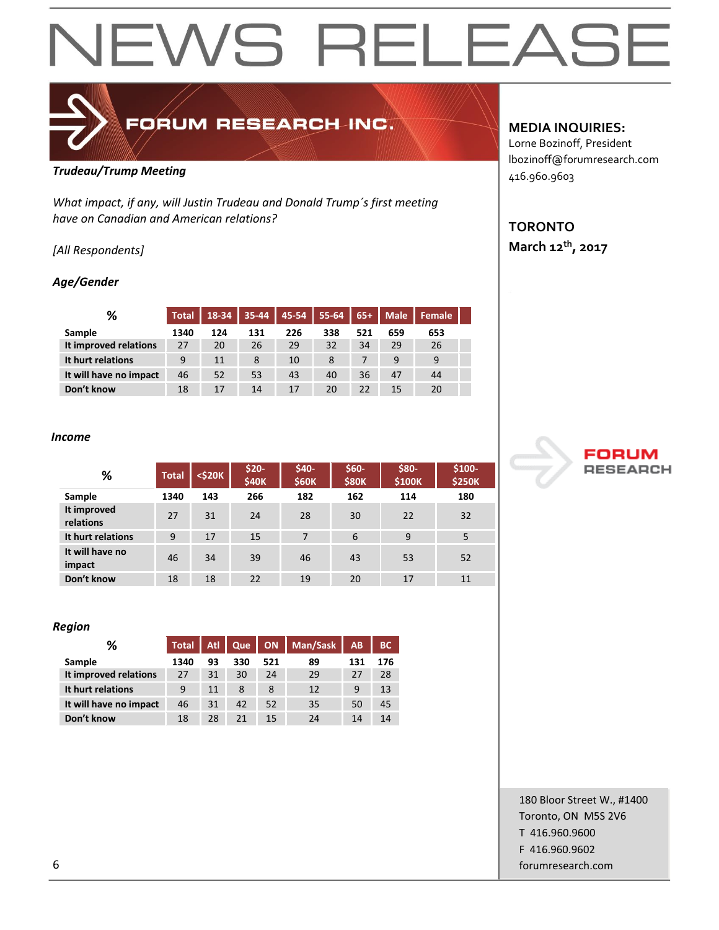

## FORUM RESEARCH INC.

#### *Trudeau/Trump Meeting*

*What impact, if any, will Justin Trudeau and Donald Trump´s first meeting have on Canadian and American relations?*

## *[All Respondents]*

## *Age/Gender*

| %                      | Total | 18-34 | 35-44 | 45-54 | 55-64 | $65+$ | <b>Male</b> | Female |  |
|------------------------|-------|-------|-------|-------|-------|-------|-------------|--------|--|
| Sample                 | 1340  | 124   | 131   | 226   | 338   | 521   | 659         | 653    |  |
| It improved relations  | 27    | 20    | 26    | 29    | 32    | 34    | 29          | 26     |  |
| It hurt relations      | 9     | 11    | 8     | 10    | 8     |       | 9           | 9      |  |
| It will have no impact | 46    | 52    | 53    | 43    | 40    | 36    | 47          | 44     |  |
| Don't know             | 18    | 17    | 14    | 17    | 20    | 22    | 15          | 20     |  |

#### *Income*

| %                         | <b>Total</b> | $<$ \$20 $K$ | \$20-<br><b>\$40K</b> | \$40-<br><b>\$60K</b> | $$60-$<br><b>\$80K</b> | \$80-<br>\$100K | $$100-$<br><b>\$250K</b> |
|---------------------------|--------------|--------------|-----------------------|-----------------------|------------------------|-----------------|--------------------------|
| Sample                    | 1340         | 143          | 266                   | 182                   | 162                    | 114             | 180                      |
| It improved<br>relations  | 27           | 31           | 24                    | 28                    | 30                     | 22              | 32                       |
| It hurt relations         | 9            | 17           | 15                    | 7                     | 6                      | 9               | 5                        |
| It will have no<br>impact | 46           | 34           | 39                    | 46                    | 43                     | 53              | 52                       |
| Don't know                | 18           | 18           | 22                    | 19                    | 20                     | 17              | 11                       |

#### *Region*

| ℅                      | <b>Total</b> | Atl | Que | <b>ON</b> | Man/Sask | AB  | BC. |
|------------------------|--------------|-----|-----|-----------|----------|-----|-----|
| Sample                 | 1340         | 93  | 330 | 521       | 89       | 131 | 176 |
| It improved relations  | 27           | 31  | 30  | 24        | 29       | 27  | 28  |
| It hurt relations      | 9            | 11  | 8   | 8         | 12       | 9   | 13  |
| It will have no impact | 46           | 31  | 42  | 52        | 35       | 50  | 45  |
| Don't know             | 18           | 28  | 21  | 15        | 24       | 14  | 14  |

## **MEDIA INQUIRIES:**

Lorne Bozinoff, President lbozinoff@forumresearch.com 416.960.9603

## **TORONTO March 12th, 2017**



180 Bloor Street W., #1400 Toronto, ON M5S 2V6 T 416.960.9600 F 416.960.9602 6 forumresearch.com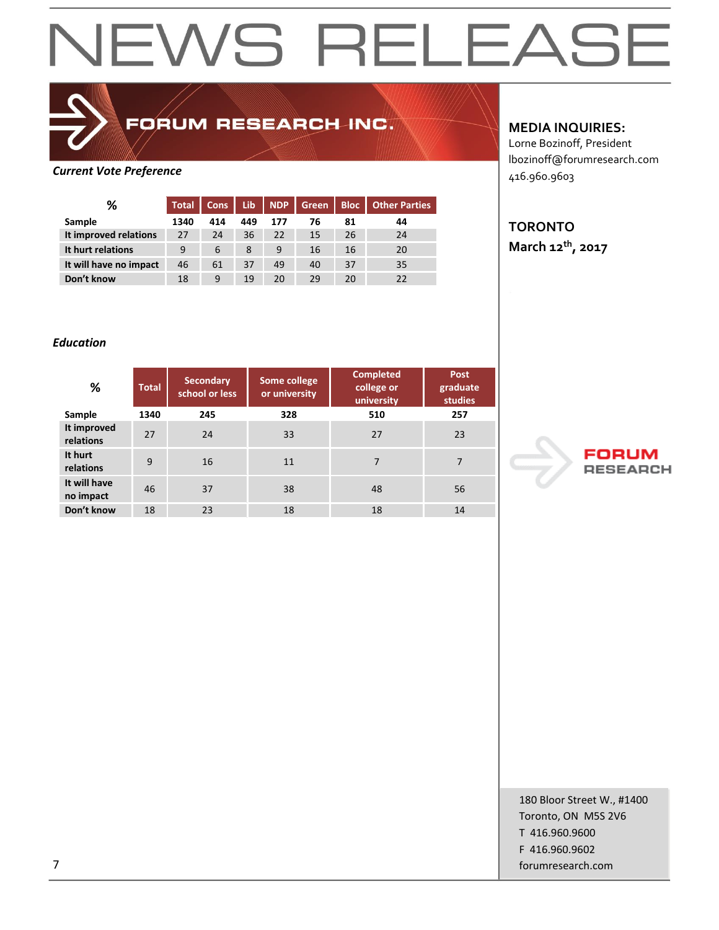### *Current Vote Preference*

| ℅                      | <b>Total</b> | <b>Cons</b> | Lib | <b>NDP</b> | <b>Green</b> | <b>Bloc</b> | <b>Other Parties</b> |
|------------------------|--------------|-------------|-----|------------|--------------|-------------|----------------------|
| Sample                 | 1340         | 414         | 449 | 177        | 76           | 81          | 44                   |
| It improved relations  | 27           | 24          | 36  | 22         | 15           | 26          | 24                   |
| It hurt relations      | 9            | 6           | 8   | 9          | 16           | 16          | 20                   |
| It will have no impact | 46           | 61          | 37  | 49         | 40           | 37          | 35                   |
| Don't know             | 18           | 9           | 19  | 20         | 29           | 20          | 22                   |

FORUM RESEARCH INC.

#### **MEDIA INQUIRIES:**

Lorne Bozinoff, President lbozinoff@forumresearch.com 416.960.9603

## **TORONTO March 12th, 2017**

### *Education*

| %                         | <b>Total</b> | <b>Secondary</b><br>school or less | Some college<br>or university | <b>Completed</b><br>college or<br>university | Post<br>graduate<br>studies |
|---------------------------|--------------|------------------------------------|-------------------------------|----------------------------------------------|-----------------------------|
| Sample                    | 1340         | 245                                | 328                           | 510                                          | 257                         |
| It improved<br>relations  | 27           | 24                                 | 33                            | 27                                           | 23                          |
| It hurt<br>relations      | 9            | 16                                 | 11                            | 7                                            | 7                           |
| It will have<br>no impact | 46           | 37                                 | 38                            | 48                                           | 56                          |
| Don't know                | 18           | 23                                 | 18                            | 18                                           | 14                          |



180 Bloor Street W., #1400 Toronto, ON M5S 2V6 T 416.960.9600 F 416.960.9602 7 forumresearch.com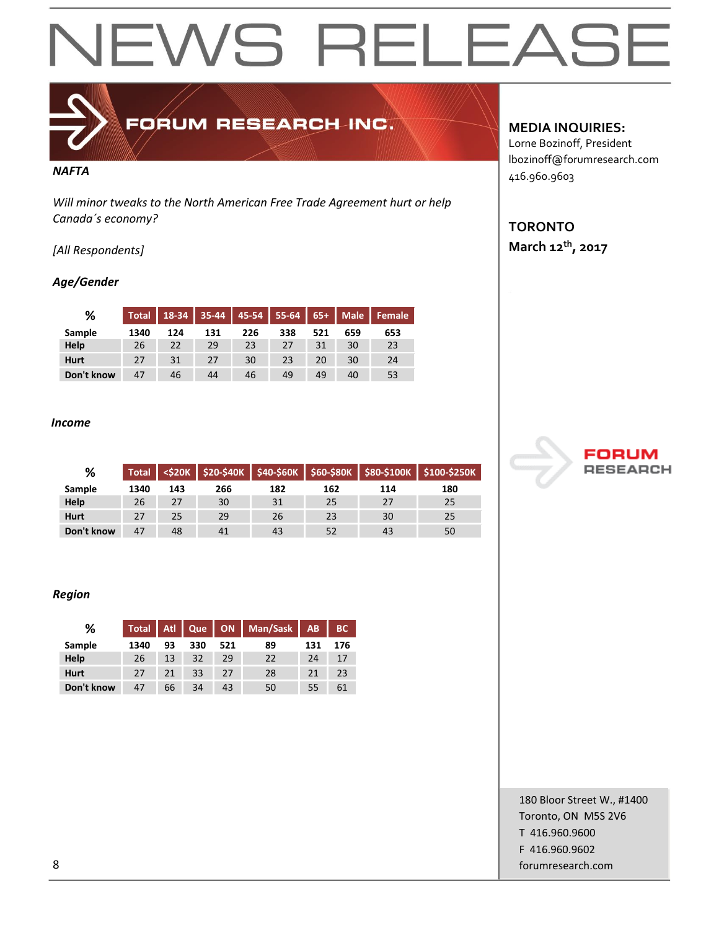

## FORUM RESEARCH INC.

#### *NAFTA*

*Will minor tweaks to the North American Free Trade Agreement hurt or help Canada´s economy?*

## *[All Respondents]*

## *Age/Gender*

| %           | <b>Total</b> | 18-34 | $35 - 44$ |     | 45-54 55-64 | $65+$ | <b>Male</b> | Female |
|-------------|--------------|-------|-----------|-----|-------------|-------|-------------|--------|
| Sample      | 1340         | 124   | 131       | 226 | 338         | 521   | 659         | 653    |
| Help        | 26           | 22    | 29        | 23  | 27          | 31    | 30          | 23     |
| <b>Hurt</b> | 27           | 31    | 27        | 30  | 23          | 20    | 30          | 24     |
| Don't know  | 47           | 46    | 44        | 46  | 49          | 49    | 40          | 53     |

#### *Income*

| %           | <b>Total</b> |     |     |     |     |     | <\$20K   \$20-\$40K   \$40-\$60K   \$60-\$80K   \$80-\$100K   \$100-\$250K |
|-------------|--------------|-----|-----|-----|-----|-----|----------------------------------------------------------------------------|
| Sample      | 1340         | 143 | 266 | 182 | 162 | 114 | 180                                                                        |
| Help        | 26           | 27  | 30  | 31  | 25  | 27  | 25                                                                         |
| <b>Hurt</b> | 27           | 25  | 29  | 26  | 23  | 30  | 25                                                                         |
| Don't know  | 47           | 48  | 41  | 43  | 52  | 43  | 50                                                                         |

#### *Region*

| %           | <b>Total</b> | Atl | Que |     | ON   Man/Sask | AB  | <b>BC</b> |
|-------------|--------------|-----|-----|-----|---------------|-----|-----------|
| Sample      | 1340         | 93  | 330 | 521 | 89            | 131 | 176       |
| Help        | 26           | 13  | 32  | 29  | 22            | 24  | 17        |
| <b>Hurt</b> | 27           | 21  | 33  | 27  | 28            | 21  | 23        |
| Don't know  | 47           | 66  | 34  | 43  | 50            | 55  | 61        |

## **MEDIA INQUIRIES:**

Lorne Bozinoff, President lbozinoff@forumresearch.com 416.960.9603

## **TORONTO March 12th, 2017**



180 Bloor Street W., #1400 Toronto, ON M5S 2V6 T 416.960.9600 F 416.960.9602 8 forumresearch.com